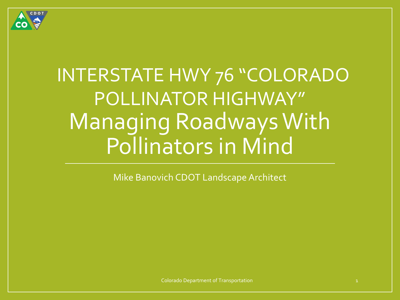

# INTERSTATE HWY 76 "COLORADO POLLINATOR HIGHWAY" Managing Roadways With Pollinators in Mind

Mike Banovich CDOT Landscape Architect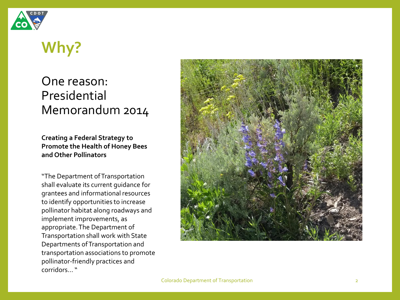

## **Why?**

### One reason: Presidential Memorandum 2014

#### **Creating a Federal Strategy to Promote the Health of Honey Bees and Other Pollinators**

"The Department of Transportation shall evaluate its current guidance for grantees and informational resources to identify opportunities to increase pollinator habitat along roadways and implement improvements, as appropriate. The Department of Transportation shall work with State Departments of Transportation and transportation associations to promote pollinator-friendly practices and corridors… "



Colorado Department of Transportation 2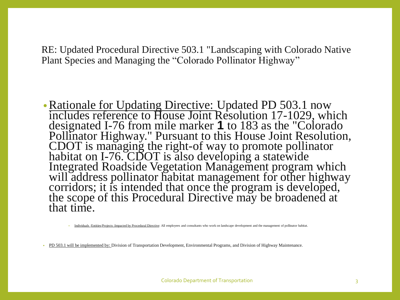RE: Updated Procedural Directive 503.1 "Landscaping with Colorado Native Plant Species and Managing the "Colorado Pollinator Highway"

• Rationale for Updating Directive: Updated PD 503.1 now includes reference to House Joint Resolution 17-1029, which designated I-76 from mile marker **1** to 183 as the "Colorado Pollinator Highway." Pursuant to this House Joint Resolution, CDOT is managing the right-of way to promote pollinator habitat on I-76. CDOT is also developing a statewide Integrated Roadside Vegetation Management program which will address pollinator habitat management for other highway corridors; it is intended that once the program is developed, the scope of this Procedural Directive may be broadened at that time.

• Individuals /Entities/Projects :Impacted by Procedural Directive: All employees and consultants who work on landscape development and the management of pollinator habitat.

• PD 503.1 will be implemented by: Division of Transportation Development, Environmental Programs, and Division of Highway Maintenance.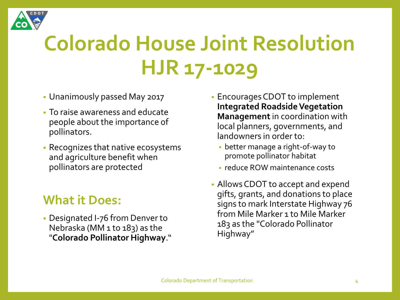

# **Colorado House Joint Resolution HJR 17-1029**

- Unanimously passed May 2017
- To raise awareness and educate people about the importance of pollinators.
- Recognizes that native ecosystems and agriculture benefit when pollinators are protected

### **What it Does:**

• Designated I-76 from Denver to Nebraska (MM 1 to 183) as the "**Colorado Pollinator Highway**."

- Encourages CDOT to implement **Integrated Roadside Vegetation Management** in coordination with local planners, governments, and landowners in order to:
	- better manage a right-of-way to promote pollinator habitat
	- reduce ROW maintenance costs
- Allows CDOT to accept and expend gifts, grants, and donations to place signs to mark Interstate Highway 76 from Mile Marker 1 to Mile Marker 183 as the "Colorado Pollinator Highway"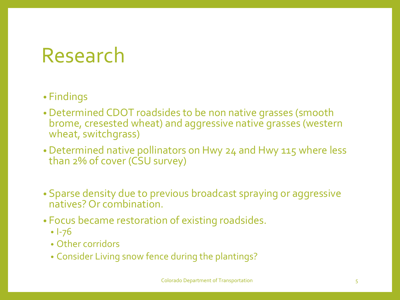## Research

### • Findings

- Determined CDOT roadsides to be non native grasses (smooth brome, cresested wheat) and aggressive native grasses (western wheat, switchgrass)
- Determined native pollinators on Hwy 24 and Hwy 115 where less than 2% of cover (CSU survey)
- Sparse density due to previous broadcast spraying or aggressive natives? Or combination.
- Focus became restoration of existing roadsides.
	- I-76
	- Other corridors
	- Consider Living snow fence during the plantings?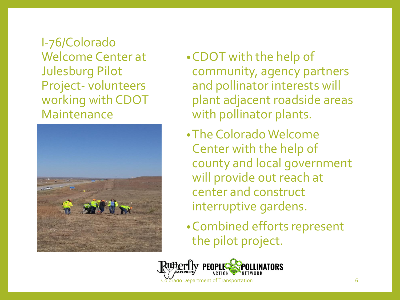I-76/Colorado Welcome Center at Julesburg Pilot Project- volunteers working with CDOT Maintenance



- •CDOT with the help of community, agency partners and pollinator interests will plant adjacent roadside areas with pollinator plants.
- •The Colorado Welcome Center with the help of county and local government will provide out reach at center and construct interruptive gardens.
- •Combined efforts represent the pilot project.

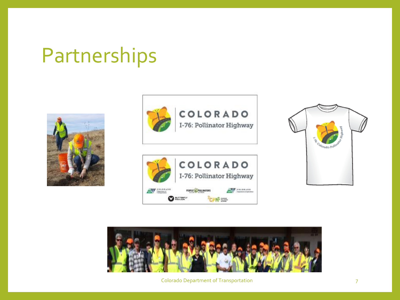## Partnerships











Colorado Department of Transportation 7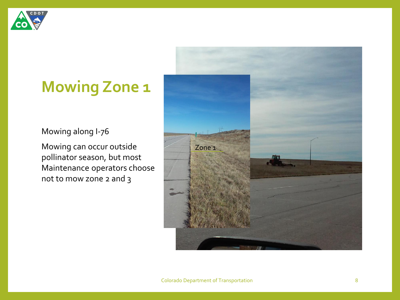

### **Mowing Zone 1**

#### Mowing along I-76

Mowing can occur outside pollinator season, but most Maintenance operators choose not to mow zone 2 and 3

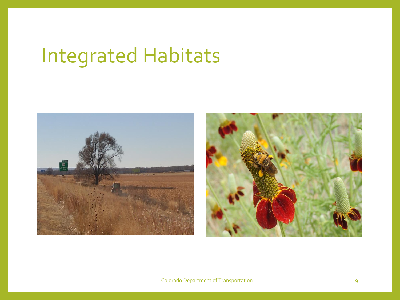# Integrated Habitats

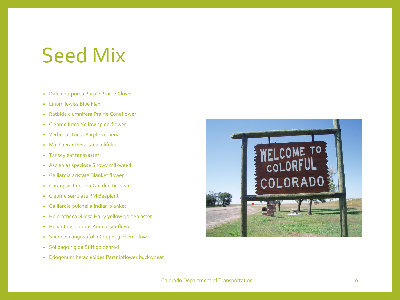## Seed Mix

- Dalea purpurea Purple Prairie Clover
- Linum lewiss Blue Flax
- Ratbida clumnifera Prairie Coneflower
- Cleome Iutea Yellow spiderflower
- Verbena stricta Purple verbena
- Machaeranthera tanacelifolia
- Tanseyleaf tansyaster
- Asclepias speciose Showy milkweed
- Gaillardia aristata Blanket flower
- Coreopsis tincloria Gol,den tickseed
- Cleome serrulata RM Beeplant
- Gaillardia pulchella Indian blanket
- Helerotheca villosa Hairy yellow golden aster
- Helianthus annuus Annual sunflower
- Sheracea angustifolia Copper globemallow
- Solidago rigida Stiff goldenrod
- Eriogonum heracleoides Parsnipflower buckwheat

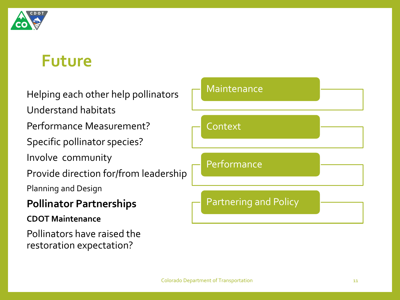

### **Future**

Helping each other help pollinators

Understand habitats

Performance Measurement?

Specific pollinator species?

Involve community

Provide direction for/from leadership

Planning and Design

### **Pollinator Partnerships**

#### **CDOT Maintenance**

Pollinators have raised the restoration expectation?